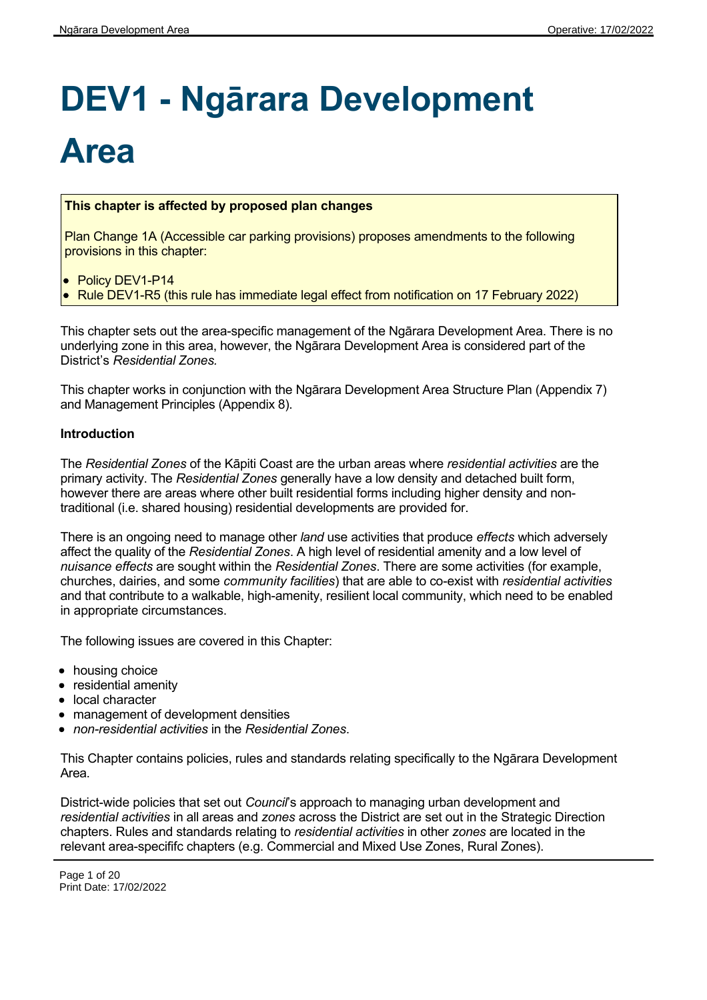# **DEV1 - Ngārara Development**

# **Area**

#### **This chapter is affected by proposed plan changes**

Plan Change 1A (Accessible car parking provisions) proposes amendments to the following provisions in this chapter:

• Policy DEV1-P14

Rule DEV1-R5 (this rule has immediate legal effect from notification on 17 February 2022)

This chapter sets out the area-specific management of the Ngārara Development Area. There is no underlying zone in this area, however, the Ngārara Development Area is considered part of the District's *Residential Zones.*

This chapter works in conjunction with the Ngārara Development Area Structure Plan (Appendix 7) and Management Principles (Appendix 8).

#### **Introduction**

The *Residential Zones* of the Kāpiti Coast are the urban areas where *residential activities* are the primary activity. The *Residential Zones* generally have a low density and detached built form, however there are areas where other built residential forms including higher density and nontraditional (i.e. shared housing) residential developments are provided for.

There is an ongoing need to manage other *land* use activities that produce *effects* which adversely affect the quality of the *Residential Zones*. A high level of residential amenity and a low level of *nuisance effects* are sought within the *Residential Zones*. There are some activities (for example, churches, dairies, and some *community facilities*) that are able to co-exist with *residential activities* and that contribute to a walkable, high-amenity, resilient local community, which need to be enabled in appropriate circumstances.

The following issues are covered in this Chapter:

- housing choice
- residential amenity
- local character
- management of development densities
- *non-residential activities* in the *Residential Zones*.

This Chapter contains policies, rules and standards relating specifically to the Ngārara Development Area.

District-wide policies that set out *Council*'s approach to managing urban development and *residential activities* in all areas and *zones* across the District are set out in the Strategic Direction chapters. Rules and standards relating to *residential activities* in other *zones* are located in the relevant area-specififc chapters (e.g. Commercial and Mixed Use Zones, Rural Zones).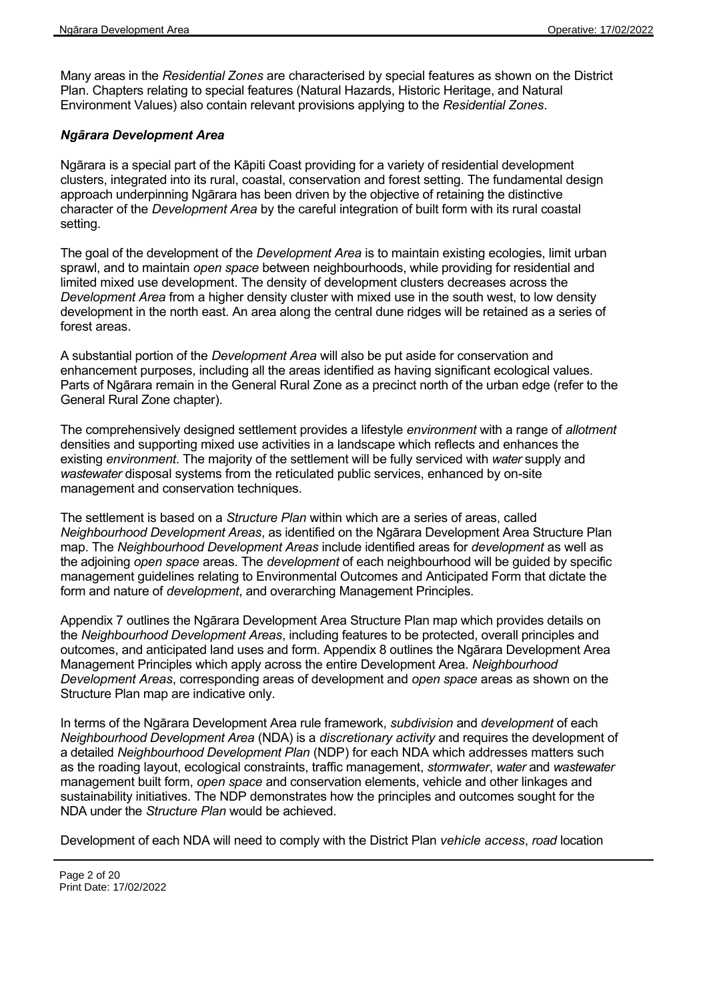Many areas in the *Residential Zones* are characterised by special features as shown on the District Plan. Chapters relating to special features (Natural Hazards, Historic Heritage, and Natural Environment Values) also contain relevant provisions applying to the *Residential Zones*.

#### *Ngārara Development Area*

Ngārara is a special part of the Kāpiti Coast providing for a variety of residential development clusters, integrated into its rural, coastal, conservation and forest setting. The fundamental design approach underpinning Ngārara has been driven by the objective of retaining the distinctive character of the *Development Area* by the careful integration of built form with its rural coastal setting.

The goal of the development of the *Development Area* is to maintain existing ecologies, limit urban sprawl, and to maintain *open space* between neighbourhoods, while providing for residential and limited mixed use development. The density of development clusters decreases across the *Development Area* from a higher density cluster with mixed use in the south west, to low density development in the north east. An area along the central dune ridges will be retained as a series of forest areas.

A substantial portion of the *Development Area* will also be put aside for conservation and enhancement purposes, including all the areas identified as having significant ecological values. Parts of Ngārara remain in the General Rural Zone as a precinct north of the urban edge (refer to the General Rural Zone chapter).

The comprehensively designed settlement provides a lifestyle *environment* with a range of *allotment* densities and supporting mixed use activities in a landscape which reflects and enhances the existing *environment*. The majority of the settlement will be fully serviced with *water* supply and *wastewater* disposal systems from the reticulated public services, enhanced by on-site management and conservation techniques.

The settlement is based on a *Structure Plan* within which are a series of areas, called *Neighbourhood Development Areas*, as identified on the Ngārara Development Area Structure Plan map. The *Neighbourhood Development Areas* include identified areas for *development* as well as the adjoining *open space* areas. The *development* of each neighbourhood will be guided by specific management guidelines relating to Environmental Outcomes and Anticipated Form that dictate the form and nature of *development*, and overarching Management Principles.

Appendix 7 outlines the Ngārara Development Area Structure Plan map which provides details on the *Neighbourhood Development Areas*, including features to be protected, overall principles and outcomes, and anticipated land uses and form. Appendix 8 outlines the Ngārara Development Area Management Principles which apply across the entire Development Area. *Neighbourhood Development Areas*, corresponding areas of development and *open space* areas as shown on the Structure Plan map are indicative only.

In terms of the Ngārara Development Area rule framework, *subdivision* and *development* of each *Neighbourhood Development Area* (NDA) is a *discretionary activity* and requires the development of a detailed *Neighbourhood Development Plan* (NDP) for each NDA which addresses matters such as the roading layout, ecological constraints, traffic management, *stormwater*, *water* and *wastewater* management built form, *open space* and conservation elements, vehicle and other linkages and sustainability initiatives. The NDP demonstrates how the principles and outcomes sought for the NDA under the *Structure Plan* would be achieved.

Development of each NDA will need to comply with the District Plan *vehicle access*, *road* location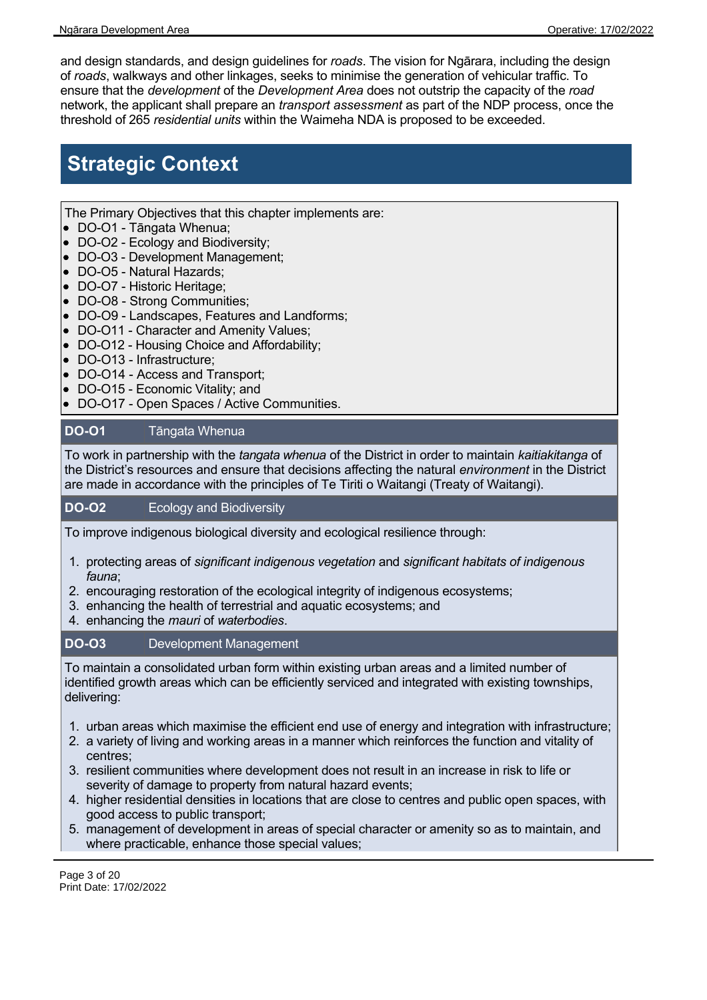and design standards, and design guidelines for *roads*. The vision for Ngārara, including the design of *roads*, walkways and other linkages, seeks to minimise the generation of vehicular traffic. To ensure that the *development* of the *Development Area* does not outstrip the capacity of the *road* network, the applicant shall prepare an *transport assessment* as part of the NDP process, once the threshold of 265 *residential units* within the Waimeha NDA is proposed to be exceeded.

# **Strategic Context**

The Primary Objectives that this chapter implements are:

- DO-O1 Tāngata Whenua;
- DO-O2 Ecology and Biodiversity;
- DO-O3 Development Management;
- DO-O5 Natural Hazards;
- DO-O7 Historic Heritage;
- DO-O8 Strong Communities;
- DO-O9 Landscapes, Features and Landforms;
- DO-O11 Character and Amenity Values;
- DO-O12 Housing Choice and Affordability;
- DO-O13 Infrastructure;
- DO-O14 Access and Transport;
- DO-O15 Economic Vitality; and
- DO-O17 Open Spaces / Active Communities.

#### **DO-O1** Tāngata Whenua

To work in partnership with the *tangata whenua* of the District in order to maintain *kaitiakitanga* of the District's resources and ensure that decisions affecting the natural *environment* in the District are made in accordance with the principles of Te Tiriti o Waitangi (Treaty of Waitangi).

#### **DO-O2** Ecology and Biodiversity

To improve indigenous biological diversity and ecological resilience through:

- 1. protecting areas of *significant indigenous vegetation* and *significant habitats of indigenous fauna*;
- 2. encouraging restoration of the ecological integrity of indigenous ecosystems;
- 3. enhancing the health of terrestrial and aquatic ecosystems; and
- 4. enhancing the *mauri* of *waterbodies*.

#### **DO-O3** Development Management

To maintain a consolidated urban form within existing urban areas and a limited number of identified growth areas which can be efficiently serviced and integrated with existing townships, delivering:

- 1. urban areas which maximise the efficient end use of energy and integration with infrastructure;
- 2. a variety of living and working areas in a manner which reinforces the function and vitality of centres;
- 3. resilient communities where development does not result in an increase in risk to life or severity of damage to property from natural hazard events;
- 4. higher residential densities in locations that are close to centres and public open spaces, with good access to public transport;
- 5. management of development in areas of special character or amenity so as to maintain, and where practicable, enhance those special values;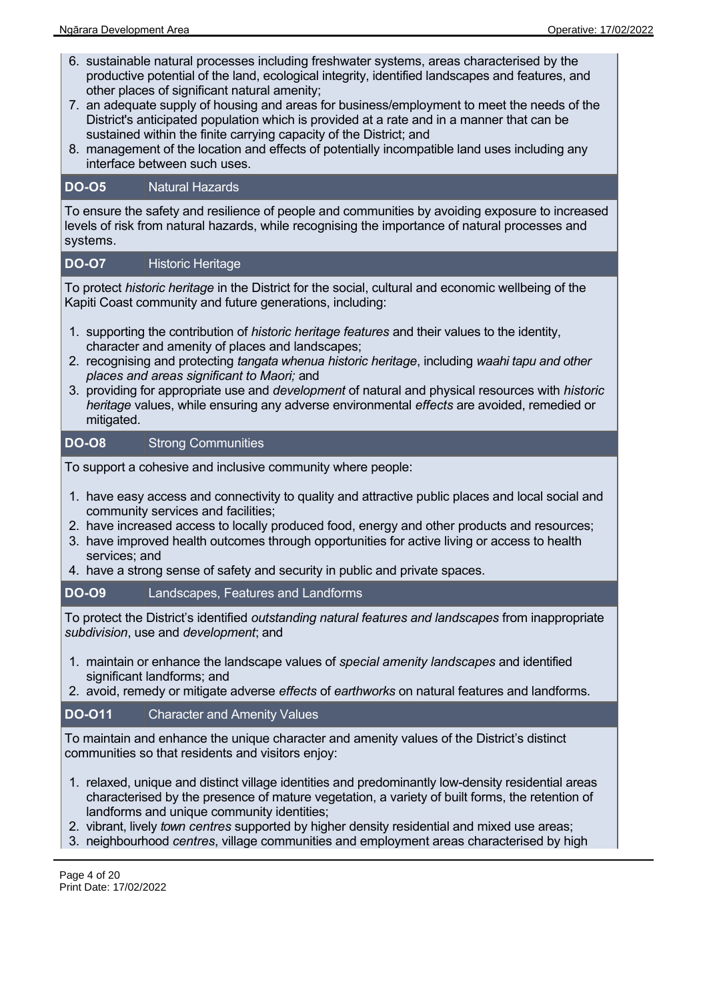- 6. sustainable natural processes including freshwater systems, areas characterised by the productive potential of the land, ecological integrity, identified landscapes and features, and other places of significant natural amenity;
- 7. an adequate supply of housing and areas for business/employment to meet the needs of the District's anticipated population which is provided at a rate and in a manner that can be sustained within the finite carrying capacity of the District; and
- 8. management of the location and effects of potentially incompatible land uses including any interface between such uses.

#### **DO-O5** Natural Hazards

To ensure the safety and resilience of people and communities by avoiding exposure to increased levels of risk from natural hazards, while recognising the importance of natural processes and systems.

#### **DO-O7** Historic Heritage

To protect *historic heritage* in the District for the social, cultural and economic wellbeing of the Kapiti Coast community and future generations, including:

- 1. supporting the contribution of *historic heritage features* and their values to the identity, character and amenity of places and landscapes;
- 2. recognising and protecting *tangata whenua historic heritage*, including *waahi tapu and other places and areas significant to Maori;* and
- 3. providing for appropriate use and *development* of natural and physical resources with *historic heritage* values, while ensuring any adverse environmental *effects* are avoided, remedied or mitigated.

#### **DO-O8** Strong Communities

To support a cohesive and inclusive community where people:

- 1. have easy access and connectivity to quality and attractive public places and local social and community services and facilities;
- 2. have increased access to locally produced food, energy and other products and resources;
- 3. have improved health outcomes through opportunities for active living or access to health services; and
- 4. have a strong sense of safety and security in public and private spaces.

#### **DO-O9** Landscapes, Features and Landforms

To protect the District's identified *outstanding natural features and landscapes* from inappropriate *subdivision*, use and *development*; and

- 1. maintain or enhance the landscape values of *special amenity landscapes* and identified significant landforms; and
- 2. avoid, remedy or mitigate adverse *effects* of *earthworks* on natural features and landforms.

#### **DO-O11** Character and Amenity Values

To maintain and enhance the unique character and amenity values of the District's distinct communities so that residents and visitors enjoy:

- 1. relaxed, unique and distinct village identities and predominantly low-density residential areas characterised by the presence of mature vegetation, a variety of built forms, the retention of landforms and unique community identities;
- 2. vibrant, lively *town centres* supported by higher density residential and mixed use areas;
- 3. neighbourhood *centres*, village communities and employment areas characterised by high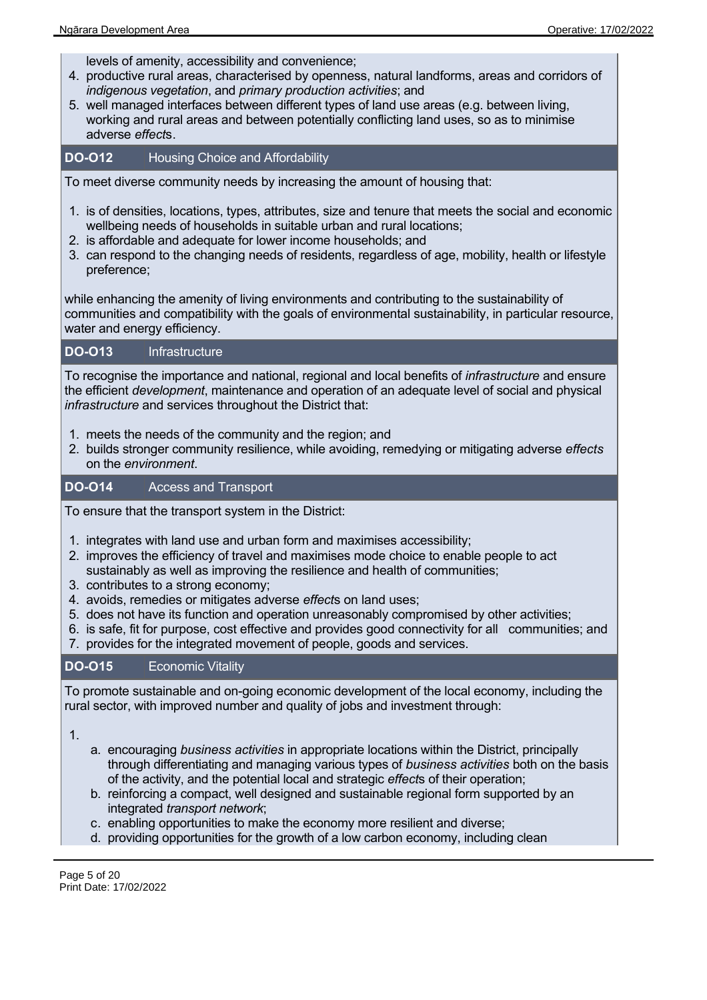levels of amenity, accessibility and convenience;

- 4. productive rural areas, characterised by openness, natural landforms, areas and corridors of *indigenous vegetation*, and *primary production activities*; and
- 5. well managed interfaces between different types of land use areas (e.g. between living, working and rural areas and between potentially conflicting land uses, so as to minimise adverse *effect*s.

**DO-O12** Housing Choice and Affordability

To meet diverse community needs by increasing the amount of housing that:

- 1. is of densities, locations, types, attributes, size and tenure that meets the social and economic wellbeing needs of households in suitable urban and rural locations;
- 2. is affordable and adequate for lower income households; and
- 3. can respond to the changing needs of residents, regardless of age, mobility, health or lifestyle preference;

while enhancing the amenity of living environments and contributing to the sustainability of communities and compatibility with the goals of environmental sustainability, in particular resource, water and energy efficiency.

#### **DO-O13** Infrastructure

To recognise the importance and national, regional and local benefits of *infrastructure* and ensure the efficient *development*, maintenance and operation of an adequate level of social and physical *infrastructure* and services throughout the District that:

- 1. meets the needs of the community and the region; and
- 2. builds stronger community resilience, while avoiding, remedying or mitigating adverse *effects* on the *environment*.

#### **DO-O14** Access and Transport

To ensure that the transport system in the District:

- 1. integrates with land use and urban form and maximises accessibility;
- 2. improves the efficiency of travel and maximises mode choice to enable people to act sustainably as well as improving the resilience and health of communities;
- 3. contributes to a strong economy;
- 4. avoids, remedies or mitigates adverse *effect*s on land uses;
- 5. does not have its function and operation unreasonably compromised by other activities;
- 6. is safe, fit for purpose, cost effective and provides good connectivity for all communities; and
- 7. provides for the integrated movement of people, goods and services.

#### **DO-O15** Economic Vitality

To promote sustainable and on-going economic development of the local economy, including the rural sector, with improved number and quality of jobs and investment through:

1.

- a. encouraging *business activities* in appropriate locations within the District, principally through differentiating and managing various types of *business activities* both on the basis of the activity, and the potential local and strategic *effect*s of their operation;
- b. reinforcing a compact, well designed and sustainable regional form supported by an integrated *transport network*;
- c. enabling opportunities to make the economy more resilient and diverse;
- d. providing opportunities for the growth of a low carbon economy, including clean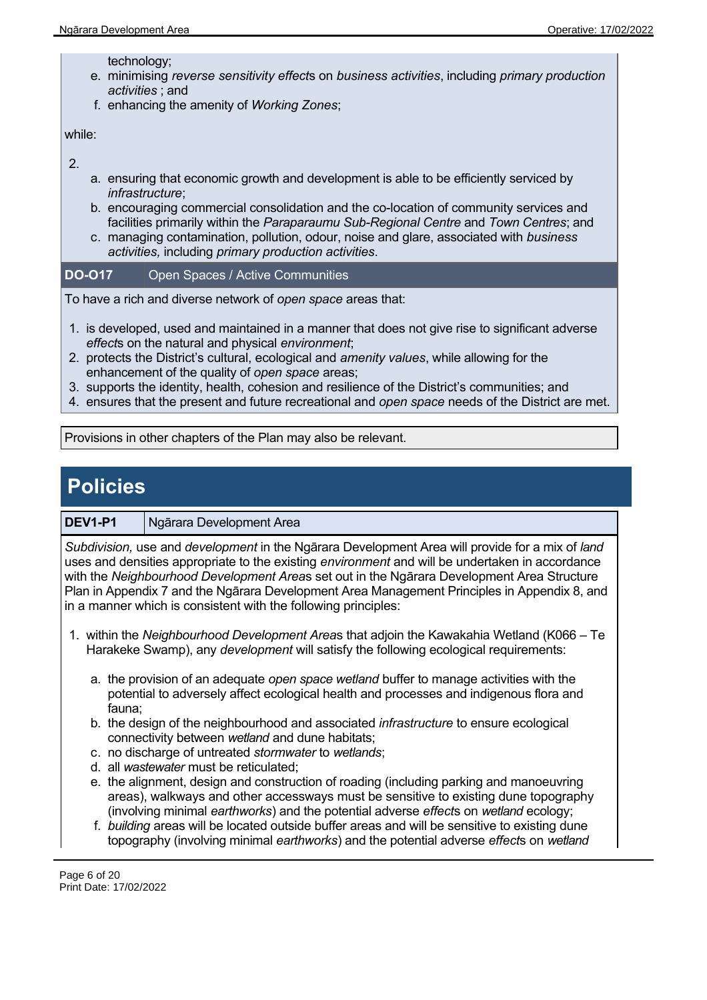technology;

- e. minimising *reverse sensitivity effect*s on *business activities*, including *primary production activities* ; and
- f. enhancing the amenity of *Working Zones*;

while:

2.

- a. ensuring that economic growth and development is able to be efficiently serviced by *infrastructure*;
- b. encouraging commercial consolidation and the co-location of community services and facilities primarily within the *Paraparaumu Sub-Regional Centre* and *Town Centres*; and
- c. managing contamination, pollution, odour, noise and glare, associated with *business activities,* including *primary production activities*.

**DO-O17** Open Spaces / Active Communities

To have a rich and diverse network of *open space* areas that:

- 1. is developed, used and maintained in a manner that does not give rise to significant adverse *effect*s on the natural and physical *environment*;
- 2. protects the District's cultural, ecological and *amenity values*, while allowing for the enhancement of the quality of *open space* areas;
- 3. supports the identity, health, cohesion and resilience of the District's communities; and
- 4. ensures that the present and future recreational and *open space* needs of the District are met.

Provisions in other chapters of the Plan may also be relevant.

## **Policies**

#### **DEV1-P1** Ngārara Development Area

*Subdivision,* use and *development* in the Ngārara Development Area will provide for a mix of *land* uses and densities appropriate to the existing *environment* and will be undertaken in accordance with the *Neighbourhood Development Area*s set out in the Ngārara Development Area Structure Plan in Appendix 7 and the Ngārara Development Area Management Principles in Appendix 8, and in a manner which is consistent with the following principles:

- 1. within the *Neighbourhood Development Area*s that adjoin the Kawakahia Wetland (K066 Te Harakeke Swamp), any *development* will satisfy the following ecological requirements:
	- a. the provision of an adequate *open space wetland* buffer to manage activities with the potential to adversely affect ecological health and processes and indigenous flora and fauna;
	- b. the design of the neighbourhood and associated *infrastructure* to ensure ecological connectivity between *wetland* and dune habitats;
	- c. no discharge of untreated *stormwater* to *wetlands*;
	- d. all *wastewater* must be reticulated;
	- e. the alignment, design and construction of roading (including parking and manoeuvring areas), walkways and other accessways must be sensitive to existing dune topography (involving minimal *earthworks*) and the potential adverse *effect*s on *wetland* ecology;
	- f. *building* areas will be located outside buffer areas and will be sensitive to existing dune topography (involving minimal *earthworks*) and the potential adverse *effect*s on *wetland*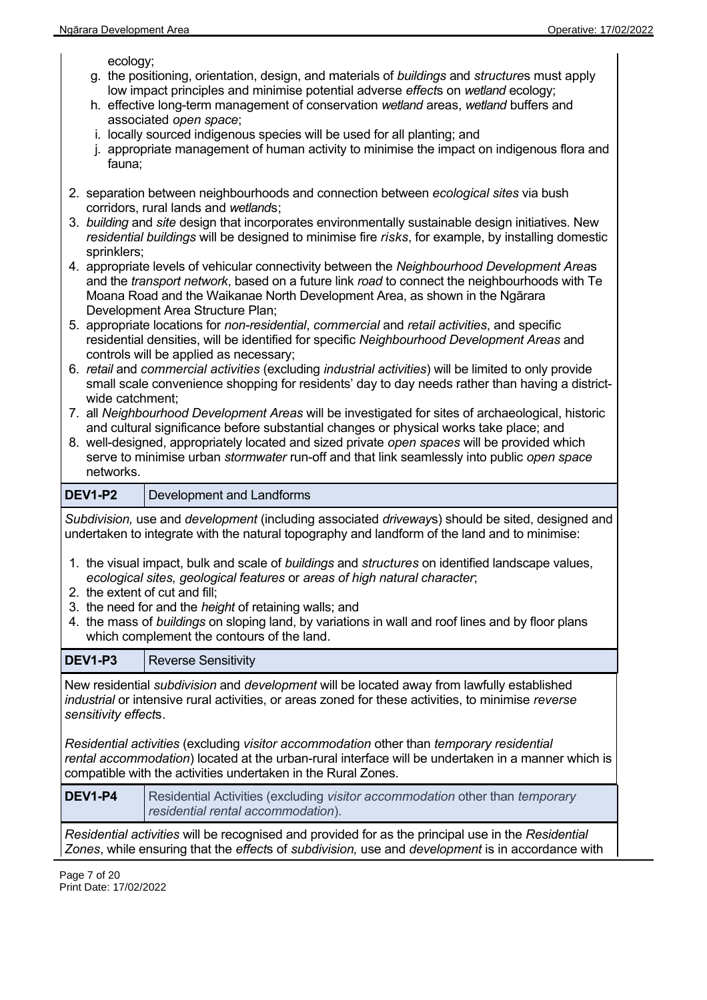ecology;

- g. the positioning, orientation, design, and materials of *buildings* and *structure*s must apply low impact principles and minimise potential adverse *effect*s on *wetland* ecology;
- h. effective long-term management of conservation *wetland* areas, *wetland* buffers and associated *open space*;
- i. locally sourced indigenous species will be used for all planting; and
- j. appropriate management of human activity to minimise the impact on indigenous flora and fauna;
- 2. separation between neighbourhoods and connection between *ecological sites* via bush corridors, rural lands and *wetland*s;
- 3. *building* and *site* design that incorporates environmentally sustainable design initiatives. New *residential buildings* will be designed to minimise fire *risks*, for example, by installing domestic sprinklers;
- 4. appropriate levels of vehicular connectivity between the *Neighbourhood Development Area*s and the *transport network*, based on a future link *road* to connect the neighbourhoods with Te Moana Road and the Waikanae North Development Area, as shown in the Ngārara Development Area Structure Plan;
- 5. appropriate locations for *non-residential*, *commercial* and *retail activities*, and specific residential densities, will be identified for specific *Neighbourhood Development Areas* and controls will be applied as necessary;
- 6. *retail* and *commercial activities* (excluding *industrial activities*) will be limited to only provide small scale convenience shopping for residents' day to day needs rather than having a districtwide catchment;
- 7. all *Neighbourhood Development Areas* will be investigated for sites of archaeological, historic and cultural significance before substantial changes or physical works take place; and
- 8. well-designed, appropriately located and sized private *open spaces* will be provided which serve to minimise urban *stormwater* run-off and that link seamlessly into public *open space* networks.

**DEV1-P2** Development and Landforms

*Subdivision,* use and *development* (including associated *driveway*s) should be sited, designed and undertaken to integrate with the natural topography and landform of the land and to minimise:

- 1. the visual impact, bulk and scale of *buildings* and *structures* on identified landscape values, *ecological sites, geological features* or *areas of high natural character*;
- 2. the extent of cut and fill;
- 3. the need for and the *height* of retaining walls; and
- 4. the mass of *buildings* on sloping land, by variations in wall and roof lines and by floor plans which complement the contours of the land.

| <b>DEV1-P3</b>                                                                                                                                                                                                                                                  | <b>Reverse Sensitivity</b>                                                                                         |  |
|-----------------------------------------------------------------------------------------------------------------------------------------------------------------------------------------------------------------------------------------------------------------|--------------------------------------------------------------------------------------------------------------------|--|
| New residential <i>subdivision</i> and <i>development</i> will be located away from lawfully established<br>industrial or intensive rural activities, or areas zoned for these activities, to minimise reverse<br>sensitivity effects.                          |                                                                                                                    |  |
| Residential activities (excluding visitor accommodation other than temporary residential<br>rental accommodation) located at the urban-rural interface will be undertaken in a manner which is<br>compatible with the activities undertaken in the Rural Zones. |                                                                                                                    |  |
| DEV <sub>1-P4</sub>                                                                                                                                                                                                                                             | Residential Activities (excluding visitor accommodation other than temporary<br>residential rental accommodation). |  |
| Residential activities will be recognised and provided for as the principal use in the Residential<br>Zones, while ensuring that the effects of subdivision, use and development is in accordance with                                                          |                                                                                                                    |  |

Page 7 of 20 Print Date: 17/02/2022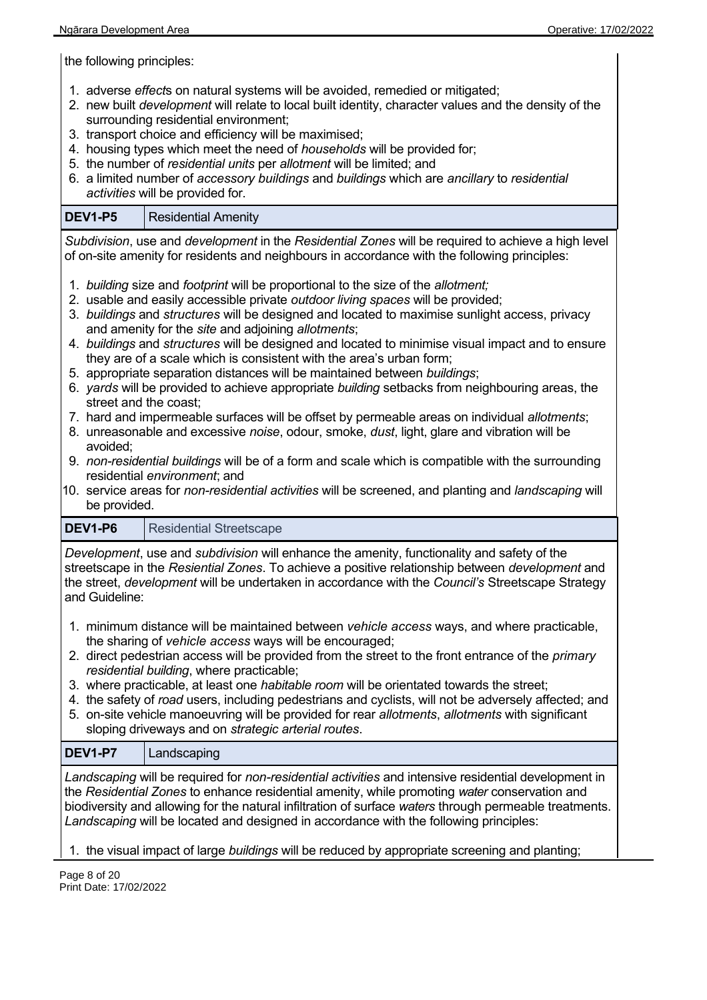the following principles:

- 1. adverse *effect*s on natural systems will be avoided, remedied or mitigated;
- 2. new built *development* will relate to local built identity, character values and the density of the surrounding residential environment;
- 3. transport choice and efficiency will be maximised;
- 4. housing types which meet the need of *households* will be provided for;
- 5. the number of *residential units* per *allotment* will be limited; and
- 6. a limited number of *accessory buildings* and *buildings* which are *ancillary* to *residential activities* will be provided for.

#### **DEV1-P5** | Residential Amenity

*Subdivision*, use and *development* in the *Residential Zones* will be required to achieve a high level of on-site amenity for residents and neighbours in accordance with the following principles:

- 1. *building* size and *footprint* will be proportional to the size of the *allotment;*
- 2. usable and easily accessible private *outdoor living spaces* will be provided;
- 3. *buildings* and *structures* will be designed and located to maximise sunlight access, privacy and amenity for the *site* and adjoining *allotments*;
- 4. *buildings* and *structures* will be designed and located to minimise visual impact and to ensure they are of a scale which is consistent with the area's urban form;
- 5. appropriate separation distances will be maintained between *buildings*;
- 6. *yards* will be provided to achieve appropriate *building* setbacks from neighbouring areas, the street and the coast;
- 7. hard and impermeable surfaces will be offset by permeable areas on individual *allotments*;
- 8. unreasonable and excessive *noise*, odour, smoke, *dust*, light, glare and vibration will be avoided;
- 9. *non-residential buildings* will be of a form and scale which is compatible with the surrounding residential *environment*; and
- 10. service areas for *non-residential activities* will be screened, and planting and *landscaping* will be provided.

#### **DEV1-P6** Residential Streetscape

*Development*, use and *subdivision* will enhance the amenity, functionality and safety of the streetscape in the *Resiential Zones*. To achieve a positive relationship between *development* and the street, *development* will be undertaken in accordance with the *Council's* Streetscape Strategy and Guideline:

- 1. minimum distance will be maintained between *vehicle access* ways, and where practicable, the sharing of *vehicle access* ways will be encouraged;
- 2. direct pedestrian access will be provided from the street to the front entrance of the *primary residential building*, where practicable;
- 3. where practicable, at least one *habitable room* will be orientated towards the street;
- 4. the safety of *road* users, including pedestrians and cyclists, will not be adversely affected; and
- 5. on-site vehicle manoeuvring will be provided for rear *allotments*, *allotments* with significant sloping driveways and on *strategic arterial routes*.

#### **DEV1-P7** Landscaping

*Landscaping* will be required for *non-residential activities* and intensive residential development in the *Residential Zones* to enhance residential amenity, while promoting *water* conservation and biodiversity and allowing for the natural infiltration of surface *waters* through permeable treatments. *Landscaping* will be located and designed in accordance with the following principles:

#### 1. the visual impact of large *buildings* will be reduced by appropriate screening and planting;

Page 8 of 20 Print Date: 17/02/2022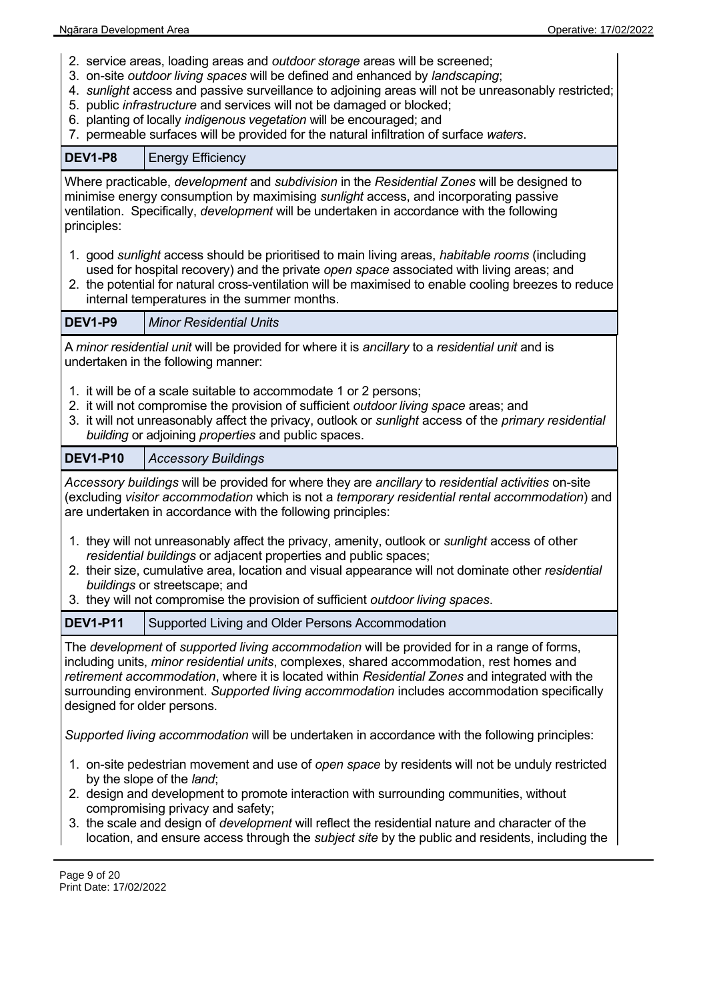- 2. service areas, loading areas and *outdoor storage* areas will be screened;
- 3. on-site *outdoor living spaces* will be defined and enhanced by *landscaping*;
- 4. *sunlight* access and passive surveillance to adjoining areas will not be unreasonably restricted;
- 5. public *infrastructure* and services will not be damaged or blocked;
- 6. planting of locally *indigenous vegetation* will be encouraged; and
- 7. permeable surfaces will be provided for the natural infiltration of surface *waters*.

| <b>DEV1-P8</b>                                                                                                                                                                                                                                                                                                                                                                                                                                                                         | <b>Energy Efficiency</b>                                                                                                                                                                                                                                                                                                                          |  |  |
|----------------------------------------------------------------------------------------------------------------------------------------------------------------------------------------------------------------------------------------------------------------------------------------------------------------------------------------------------------------------------------------------------------------------------------------------------------------------------------------|---------------------------------------------------------------------------------------------------------------------------------------------------------------------------------------------------------------------------------------------------------------------------------------------------------------------------------------------------|--|--|
| Where practicable, <i>development</i> and <i>subdivision</i> in the Residential Zones will be designed to<br>minimise energy consumption by maximising sunlight access, and incorporating passive<br>ventilation. Specifically, <i>development</i> will be undertaken in accordance with the following<br>principles:                                                                                                                                                                  |                                                                                                                                                                                                                                                                                                                                                   |  |  |
|                                                                                                                                                                                                                                                                                                                                                                                                                                                                                        | 1. good sunlight access should be prioritised to main living areas, habitable rooms (including<br>used for hospital recovery) and the private open space associated with living areas; and<br>2. the potential for natural cross-ventilation will be maximised to enable cooling breezes to reduce<br>internal temperatures in the summer months. |  |  |
| <b>DEV1-P9</b>                                                                                                                                                                                                                                                                                                                                                                                                                                                                         | <b>Minor Residential Units</b>                                                                                                                                                                                                                                                                                                                    |  |  |
|                                                                                                                                                                                                                                                                                                                                                                                                                                                                                        | A minor residential unit will be provided for where it is ancillary to a residential unit and is<br>undertaken in the following manner:                                                                                                                                                                                                           |  |  |
|                                                                                                                                                                                                                                                                                                                                                                                                                                                                                        | 1. it will be of a scale suitable to accommodate 1 or 2 persons;<br>2. it will not compromise the provision of sufficient outdoor living space areas; and<br>3. it will not unreasonably affect the privacy, outlook or sunlight access of the primary residential<br>building or adjoining properties and public spaces.                         |  |  |
| <b>DEV1-P10</b>                                                                                                                                                                                                                                                                                                                                                                                                                                                                        | <b>Accessory Buildings</b>                                                                                                                                                                                                                                                                                                                        |  |  |
| Accessory buildings will be provided for where they are ancillary to residential activities on-site<br>(excluding visitor accommodation which is not a temporary residential rental accommodation) and<br>are undertaken in accordance with the following principles:                                                                                                                                                                                                                  |                                                                                                                                                                                                                                                                                                                                                   |  |  |
| 1. they will not unreasonably affect the privacy, amenity, outlook or <i>sunlight</i> access of other<br>residential buildings or adjacent properties and public spaces;<br>2. their size, cumulative area, location and visual appearance will not dominate other residential<br>buildings or streetscape; and<br>3. they will not compromise the provision of sufficient outdoor living spaces.                                                                                      |                                                                                                                                                                                                                                                                                                                                                   |  |  |
| <b>DEV1-P11</b>                                                                                                                                                                                                                                                                                                                                                                                                                                                                        | Supported Living and Older Persons Accommodation                                                                                                                                                                                                                                                                                                  |  |  |
| The development of supported living accommodation will be provided for in a range of forms,<br>including units, <i>minor residential units</i> , complexes, shared accommodation, rest homes and<br>retirement accommodation, where it is located within Residential Zones and integrated with the<br>surrounding environment. Supported living accommodation includes accommodation specifically<br>designed for older persons.                                                       |                                                                                                                                                                                                                                                                                                                                                   |  |  |
| Supported living accommodation will be undertaken in accordance with the following principles:                                                                                                                                                                                                                                                                                                                                                                                         |                                                                                                                                                                                                                                                                                                                                                   |  |  |
| 1. on-site pedestrian movement and use of open space by residents will not be unduly restricted<br>by the slope of the <i>land</i> ;<br>2. design and development to promote interaction with surrounding communities, without<br>compromising privacy and safety;<br>3. the scale and design of <i>development</i> will reflect the residential nature and character of the<br>location, and ensure access through the <i>subject site</i> by the public and residents, including the |                                                                                                                                                                                                                                                                                                                                                   |  |  |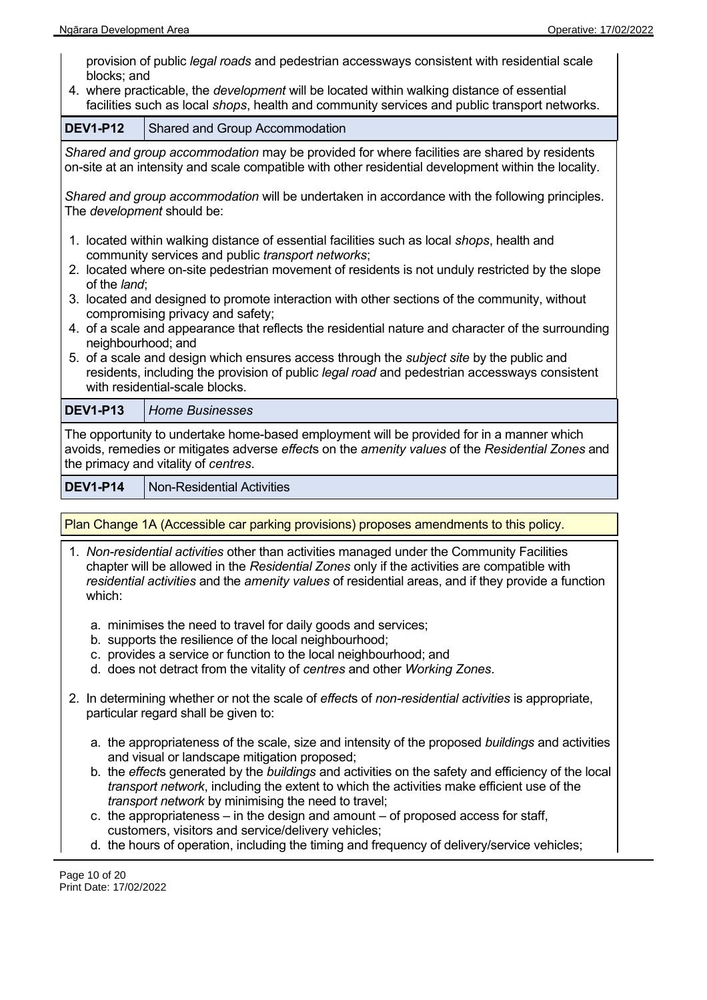provision of public *legal roads* and pedestrian accessways consistent with residential scale blocks; and

4. where practicable, the *development* will be located within walking distance of essential facilities such as local *shops*, health and community services and public transport networks.

| <b>DEV1-P12</b>                                                                                                                                                                                                                       | <b>Shared and Group Accommodation</b>                                                                                                           |  |  |
|---------------------------------------------------------------------------------------------------------------------------------------------------------------------------------------------------------------------------------------|-------------------------------------------------------------------------------------------------------------------------------------------------|--|--|
| Shared and group accommodation may be provided for where facilities are shared by residents<br>on-site at an intensity and scale compatible with other residential development within the locality.                                   |                                                                                                                                                 |  |  |
| Shared and group accommodation will be undertaken in accordance with the following principles.<br>The <i>development</i> should be:                                                                                                   |                                                                                                                                                 |  |  |
|                                                                                                                                                                                                                                       | 1. located within walking distance of essential facilities such as local shops, health and<br>community services and public transport networks; |  |  |
| of the land;                                                                                                                                                                                                                          | 2. located where on-site pedestrian movement of residents is not unduly restricted by the slope                                                 |  |  |
| 3. located and designed to promote interaction with other sections of the community, without<br>compromising privacy and safety;                                                                                                      |                                                                                                                                                 |  |  |
|                                                                                                                                                                                                                                       | 4. of a scale and appearance that reflects the residential nature and character of the surrounding<br>neighbourhood; and                        |  |  |
| 5. of a scale and design which ensures access through the <i>subject site</i> by the public and<br>residents, including the provision of public legal road and pedestrian accessways consistent<br>with residential-scale blocks.     |                                                                                                                                                 |  |  |
| <b>DEV1-P13</b>                                                                                                                                                                                                                       | <b>Home Businesses</b>                                                                                                                          |  |  |
| The opportunity to undertake home-based employment will be provided for in a manner which<br>avoids, remedies or mitigates adverse effects on the amenity values of the Residential Zones and<br>the primacy and vitality of centres. |                                                                                                                                                 |  |  |

**DEV1-P14** Non-Residential Activities

Plan Change 1A (Accessible car parking provisions) proposes amendments to this policy.

- 1. *Non-residential activities* other than activities managed under the Community Facilities chapter will be allowed in the *Residential Zones* only if the activities are compatible with *residential activities* and the *amenity values* of residential areas, and if they provide a function which:
	- a. minimises the need to travel for daily goods and services;
	- b. supports the resilience of the local neighbourhood;
	- c. provides a service or function to the local neighbourhood; and
	- d. does not detract from the vitality of *centres* and other *Working Zones*.
- 2. In determining whether or not the scale of *effect*s of *non-residential activities* is appropriate, particular regard shall be given to:
	- a. the appropriateness of the scale, size and intensity of the proposed *buildings* and activities and visual or landscape mitigation proposed;
	- b. the *effect*s generated by the *buildings* and activities on the safety and efficiency of the local *transport network*, including the extent to which the activities make efficient use of the *transport network* by minimising the need to travel;
	- c. the appropriateness in the design and amount of proposed access for staff, customers, visitors and service/delivery vehicles;
	- d. the hours of operation, including the timing and frequency of delivery/service vehicles;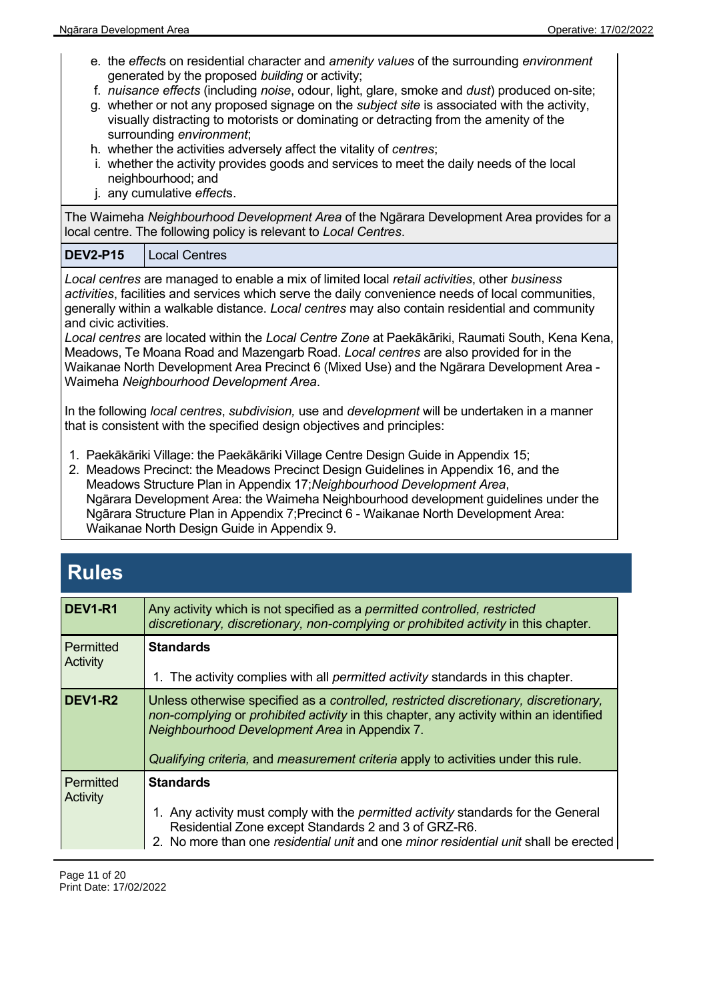- e. the *effect*s on residential character and *amenity values* of the surrounding *environment* generated by the proposed *building* or activity;
- f. *nuisance effects* (including *noise*, odour, light, glare, smoke and *dust*) produced on-site;
- g. whether or not any proposed signage on the *subject site* is associated with the activity, visually distracting to motorists or dominating or detracting from the amenity of the surrounding *environment*;
- h. whether the activities adversely affect the vitality of *centres*;
- i. whether the activity provides goods and services to meet the daily needs of the local neighbourhood; and
- j. any cumulative *effect*s.

The Waimeha *Neighbourhood Development Area* of the Ngārara Development Area provides for a local centre. The following policy is relevant to *Local Centres*.

#### **DEV2-P15** Local Centres

*Local centres* are managed to enable a mix of limited local *retail activities*, other *business activities*, facilities and services which serve the daily convenience needs of local communities, generally within a walkable distance. *Local centres* may also contain residential and community and civic activities.

*Local centres* are located within the *Local Centre Zone* at Paekākāriki, Raumati South, Kena Kena, Meadows, Te Moana Road and Mazengarb Road. *Local centres* are also provided for in the Waikanae North Development Area Precinct 6 (Mixed Use) and the Ngārara Development Area - Waimeha *Neighbourhood Development Area*.

In the following *local centres*, *subdivision,* use and *development* will be undertaken in a manner that is consistent with the specified design objectives and principles:

- 1. Paekākāriki Village: the Paekākāriki Village Centre Design Guide in Appendix 15;
- 2. Meadows Precinct: the Meadows Precinct Design Guidelines in Appendix 16, and the Meadows Structure Plan in Appendix 17;*Neighbourhood Development Area*, Ngārara Development Area: the Waimeha Neighbourhood development guidelines under the Ngārara Structure Plan in Appendix 7;Precinct 6 - Waikanae North Development Area: Waikanae North Design Guide in Appendix 9.

### **Rules**

| <b>DEV1-R1</b>        | Any activity which is not specified as a permitted controlled, restricted<br>discretionary, discretionary, non-complying or prohibited activity in this chapter.                                                                                                                                                       |
|-----------------------|------------------------------------------------------------------------------------------------------------------------------------------------------------------------------------------------------------------------------------------------------------------------------------------------------------------------|
| Permitted<br>Activity | <b>Standards</b><br>1. The activity complies with all <i>permitted activity</i> standards in this chapter.                                                                                                                                                                                                             |
| <b>DEV1-R2</b>        | Unless otherwise specified as a controlled, restricted discretionary, discretionary,<br>non-complying or prohibited activity in this chapter, any activity within an identified<br>Neighbourhood Development Area in Appendix 7.<br>Qualifying criteria, and measurement criteria apply to activities under this rule. |
| Permitted<br>Activity | <b>Standards</b><br>1. Any activity must comply with the <i>permitted activity</i> standards for the General<br>Residential Zone except Standards 2 and 3 of GRZ-R6.<br>2. No more than one residential unit and one minor residential unit shall be erected                                                           |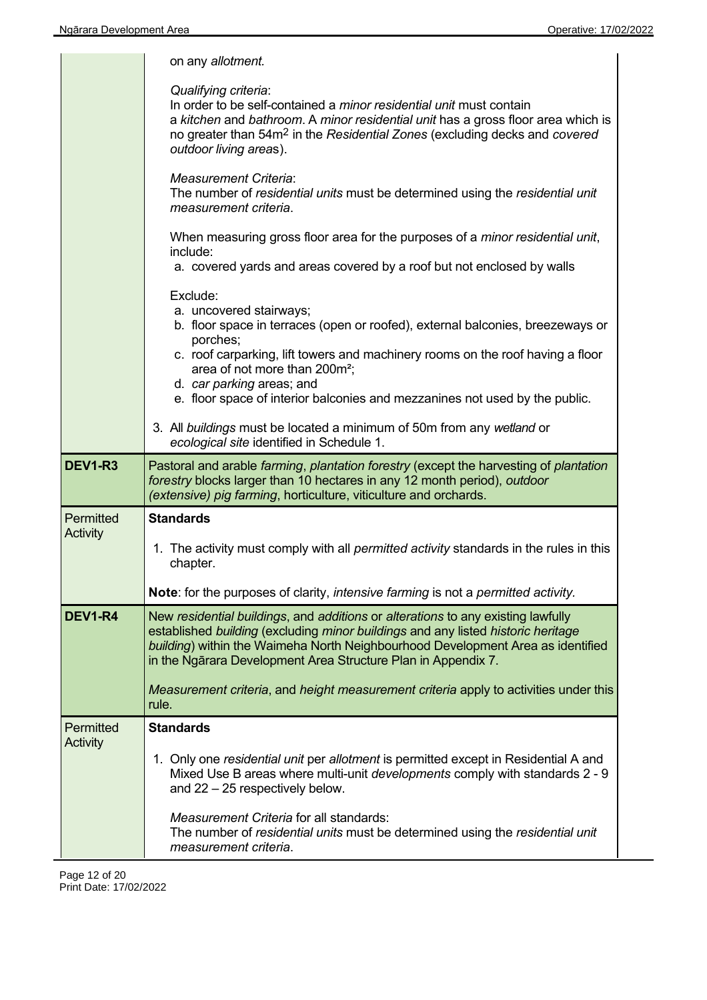|                  | on any allotment.                                                                                                                                                                                                                                                                                                                                                            |
|------------------|------------------------------------------------------------------------------------------------------------------------------------------------------------------------------------------------------------------------------------------------------------------------------------------------------------------------------------------------------------------------------|
|                  | Qualifying criteria:<br>In order to be self-contained a <i>minor residential unit</i> must contain<br>a kitchen and bathroom. A minor residential unit has a gross floor area which is<br>no greater than 54m <sup>2</sup> in the Residential Zones (excluding decks and covered<br>outdoor living areas).                                                                   |
|                  | <b>Measurement Criteria:</b><br>The number of residential units must be determined using the residential unit<br>measurement criteria.                                                                                                                                                                                                                                       |
|                  | When measuring gross floor area for the purposes of a <i>minor residential unit</i> ,<br>include:<br>a. covered yards and areas covered by a roof but not enclosed by walls                                                                                                                                                                                                  |
|                  | Exclude:<br>a. uncovered stairways;<br>b. floor space in terraces (open or roofed), external balconies, breezeways or<br>porches;<br>c. roof carparking, lift towers and machinery rooms on the roof having a floor<br>area of not more than 200m <sup>2</sup> ;<br>d. car parking areas; and<br>e. floor space of interior balconies and mezzanines not used by the public. |
|                  | 3. All buildings must be located a minimum of 50m from any wetland or<br>ecological site identified in Schedule 1.                                                                                                                                                                                                                                                           |
|                  |                                                                                                                                                                                                                                                                                                                                                                              |
| <b>DEV1-R3</b>   | Pastoral and arable farming, plantation forestry (except the harvesting of plantation<br>forestry blocks larger than 10 hectares in any 12 month period), outdoor<br>(extensive) pig farming, horticulture, viticulture and orchards.                                                                                                                                        |
| Permitted        | <b>Standards</b>                                                                                                                                                                                                                                                                                                                                                             |
| Activity         | 1. The activity must comply with all permitted activity standards in the rules in this<br>chapter.                                                                                                                                                                                                                                                                           |
|                  | Note: for the purposes of clarity, intensive farming is not a permitted activity.                                                                                                                                                                                                                                                                                            |
| <b>DEV1-R4</b>   | New residential buildings, and additions or alterations to any existing lawfully<br>established building (excluding minor buildings and any listed historic heritage<br>building) within the Waimeha North Neighbourhood Development Area as identified<br>in the Ngārara Development Area Structure Plan in Appendix 7.                                                     |
|                  | Measurement criteria, and height measurement criteria apply to activities under this<br>rule.                                                                                                                                                                                                                                                                                |
| <b>Permitted</b> | <b>Standards</b>                                                                                                                                                                                                                                                                                                                                                             |
| Activity         | 1. Only one residential unit per allotment is permitted except in Residential A and<br>Mixed Use B areas where multi-unit developments comply with standards 2 - 9<br>and $22 - 25$ respectively below.                                                                                                                                                                      |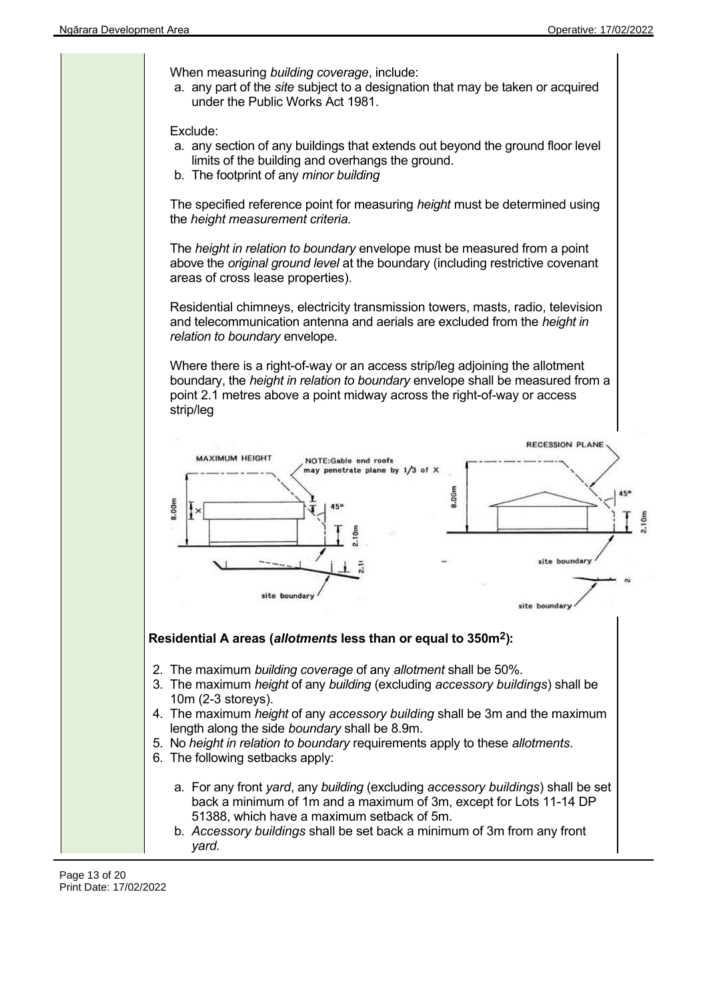When measuring *building coverage*, include: a. any part of the *site* subject to a designation that may be taken or acquired under the Public Works Act 1981. Exclude: a. any section of any buildings that extends out beyond the ground floor level limits of the building and overhangs the ground. b. The footprint of any *minor building* The specified reference point for measuring *height* must be determined using the *height measurement criteria.* The *height in relation to boundary* envelope must be measured from a point above the *original ground level* at the boundary (including restrictive covenant areas of cross lease properties). Residential chimneys, electricity transmission towers, masts, radio, television and telecommunication antenna and aerials are excluded from the *height in relation to boundary* envelope. Where there is a right-of-way or an access strip/leg adjoining the allotment boundary, the *height in relation to boundary* envelope shall be measured from a point 2.1 metres above a point midway across the right-of-way or access strip/leg **RECESSION PLANE MAXIMUM HEIGHT** NOTE:Gable end roofs may penetrate plane by 1/3 of X 8.00m 8.00m site boundary site boundar site boundar Residential A areas (allotments less than or equal to 350m<sup>2</sup>): 2. The maximum *building coverage* of any *allotment* shall be 50%. 3. The maximum *height* of any *building* (excluding *accessory buildings*) shall be 10m (2-3 storeys). 4. The maximum *height* of any *accessory building* shall be 3m and the maximum length along the side *boundary* shall be 8.9m. 5. No *height in relation to boundary* requirements apply to these *allotments*. 6. The following setbacks apply: a. For any front *yard*, any *building* (excluding *accessory buildings*) shall be set back a minimum of 1m and a maximum of 3m, except for Lots 11-14 DP 51388, which have a maximum setback of 5m. b. *Accessory buildings* shall be set back a minimum of 3m from any front *yard.*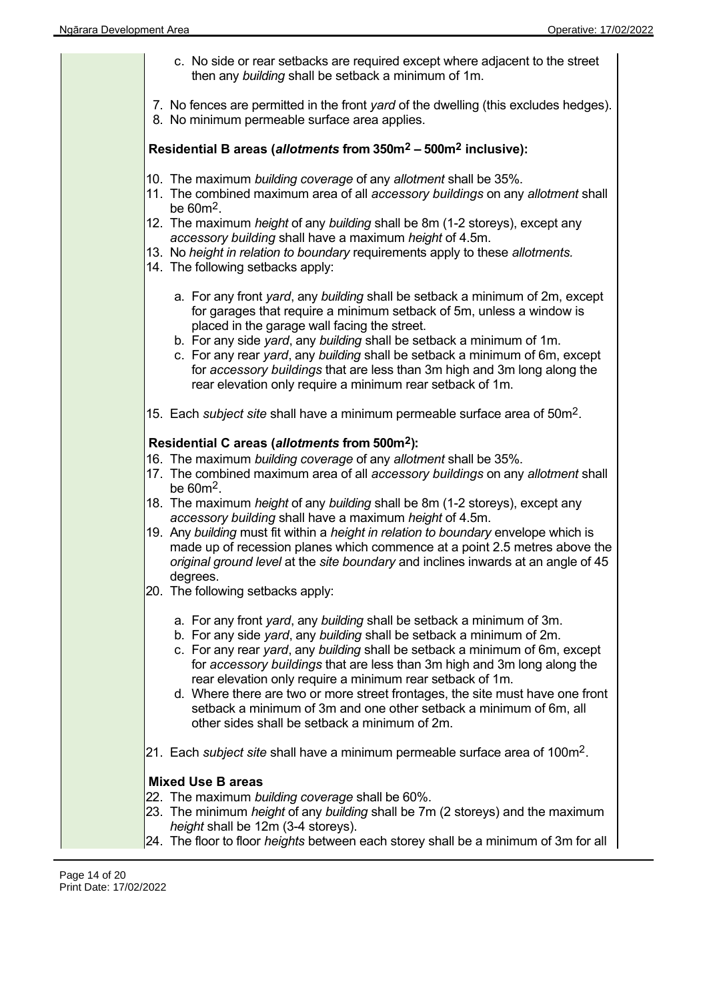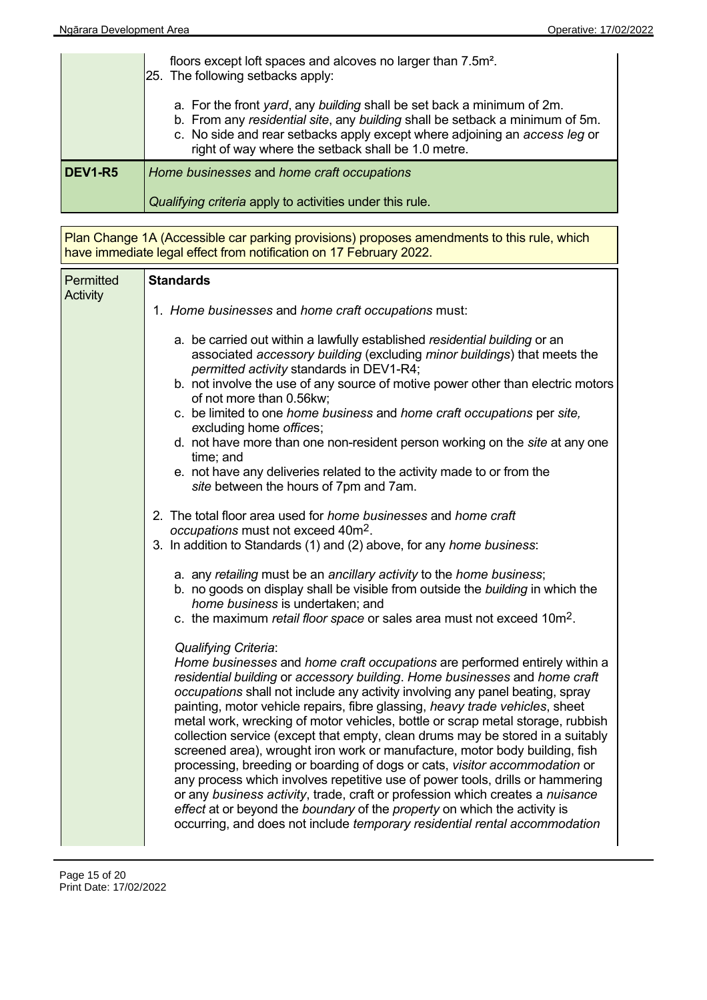|                     | floors except loft spaces and alcoves no larger than 7.5m <sup>2</sup> .<br>[25. The following setbacks apply:                                                                                                                                                                             |
|---------------------|--------------------------------------------------------------------------------------------------------------------------------------------------------------------------------------------------------------------------------------------------------------------------------------------|
|                     | a. For the front yard, any building shall be set back a minimum of 2m.<br>b. From any residential site, any building shall be setback a minimum of 5m.<br>c. No side and rear setbacks apply except where adjoining an access leg or<br>right of way where the setback shall be 1.0 metre. |
| DEV <sub>1-R5</sub> | Home businesses and home craft occupations                                                                                                                                                                                                                                                 |
|                     | Qualifying criteria apply to activities under this rule.                                                                                                                                                                                                                                   |

Plan Change 1A (Accessible car parking provisions) proposes amendments to this rule, which have immediate legal effect from notification on 17 February 2022.

| Permitted<br>Activity | <b>Standards</b>                                                                                                                                                                                                                                                                                                                                                                                                                                                                                                                                                                                                                                                                                                                                                                                                                                                                                                                                                                                                       |  |  |
|-----------------------|------------------------------------------------------------------------------------------------------------------------------------------------------------------------------------------------------------------------------------------------------------------------------------------------------------------------------------------------------------------------------------------------------------------------------------------------------------------------------------------------------------------------------------------------------------------------------------------------------------------------------------------------------------------------------------------------------------------------------------------------------------------------------------------------------------------------------------------------------------------------------------------------------------------------------------------------------------------------------------------------------------------------|--|--|
|                       | 1. Home businesses and home craft occupations must:                                                                                                                                                                                                                                                                                                                                                                                                                                                                                                                                                                                                                                                                                                                                                                                                                                                                                                                                                                    |  |  |
|                       | a. be carried out within a lawfully established residential building or an<br>associated accessory building (excluding minor buildings) that meets the<br>permitted activity standards in DEV1-R4;<br>b. not involve the use of any source of motive power other than electric motors<br>of not more than 0.56kw;<br>c. be limited to one home business and home craft occupations per site,<br>excluding home offices;<br>d. not have more than one non-resident person working on the site at any one<br>time; and<br>e. not have any deliveries related to the activity made to or from the<br>site between the hours of 7pm and 7am.                                                                                                                                                                                                                                                                                                                                                                               |  |  |
|                       | 2. The total floor area used for home businesses and home craft<br>occupations must not exceed 40m <sup>2</sup> .<br>3. In addition to Standards (1) and (2) above, for any home business:                                                                                                                                                                                                                                                                                                                                                                                                                                                                                                                                                                                                                                                                                                                                                                                                                             |  |  |
|                       | a. any retailing must be an ancillary activity to the home business;<br>b. no goods on display shall be visible from outside the building in which the<br>home business is undertaken; and<br>c. the maximum retail floor space or sales area must not exceed 10m <sup>2</sup> .                                                                                                                                                                                                                                                                                                                                                                                                                                                                                                                                                                                                                                                                                                                                       |  |  |
|                       | <b>Qualifying Criteria:</b><br>Home businesses and home craft occupations are performed entirely within a<br>residential building or accessory building. Home businesses and home craft<br>occupations shall not include any activity involving any panel beating, spray<br>painting, motor vehicle repairs, fibre glassing, heavy trade vehicles, sheet<br>metal work, wrecking of motor vehicles, bottle or scrap metal storage, rubbish<br>collection service (except that empty, clean drums may be stored in a suitably<br>screened area), wrought iron work or manufacture, motor body building, fish<br>processing, breeding or boarding of dogs or cats, visitor accommodation or<br>any process which involves repetitive use of power tools, drills or hammering<br>or any business activity, trade, craft or profession which creates a nuisance<br>effect at or beyond the boundary of the property on which the activity is<br>occurring, and does not include temporary residential rental accommodation |  |  |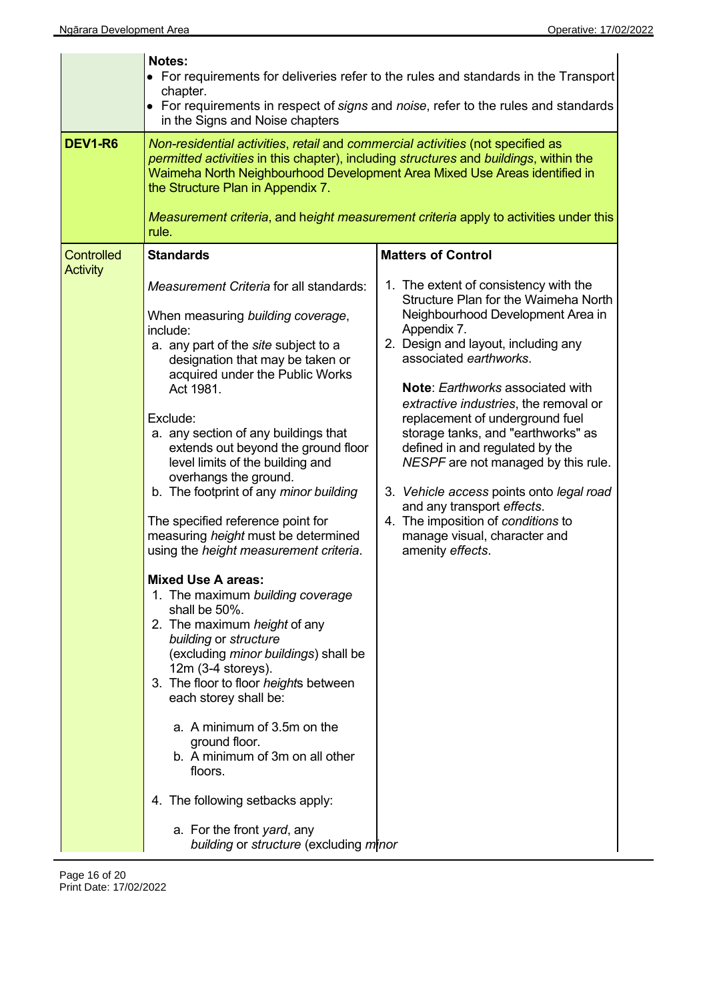|                                     | Notes:<br>chapter.<br>in the Signs and Noise chapters                                                                                                                                                                                                                                                                                                                                                                                                                                                                                                                                                                                                                                                                                                                                                                                                                                                                                                                                                                               | • For requirements for deliveries refer to the rules and standards in the Transport<br>• For requirements in respect of signs and noise, refer to the rules and standards                                                                                                                                                                                                                                                                                                                                                                                                                                     |
|-------------------------------------|-------------------------------------------------------------------------------------------------------------------------------------------------------------------------------------------------------------------------------------------------------------------------------------------------------------------------------------------------------------------------------------------------------------------------------------------------------------------------------------------------------------------------------------------------------------------------------------------------------------------------------------------------------------------------------------------------------------------------------------------------------------------------------------------------------------------------------------------------------------------------------------------------------------------------------------------------------------------------------------------------------------------------------------|---------------------------------------------------------------------------------------------------------------------------------------------------------------------------------------------------------------------------------------------------------------------------------------------------------------------------------------------------------------------------------------------------------------------------------------------------------------------------------------------------------------------------------------------------------------------------------------------------------------|
| <b>DEV1-R6</b><br><b>Controlled</b> | Non-residential activities, retail and commercial activities (not specified as<br>permitted activities in this chapter), including structures and buildings, within the<br>Waimeha North Neighbourhood Development Area Mixed Use Areas identified in<br>the Structure Plan in Appendix 7.<br>rule.<br><b>Standards</b>                                                                                                                                                                                                                                                                                                                                                                                                                                                                                                                                                                                                                                                                                                             | Measurement criteria, and height measurement criteria apply to activities under this<br><b>Matters of Control</b>                                                                                                                                                                                                                                                                                                                                                                                                                                                                                             |
| <b>Activity</b>                     | Measurement Criteria for all standards:<br>When measuring building coverage,<br>include:<br>a. any part of the site subject to a<br>designation that may be taken or<br>acquired under the Public Works<br>Act 1981.<br>Exclude:<br>a. any section of any buildings that<br>extends out beyond the ground floor<br>level limits of the building and<br>overhangs the ground.<br>b. The footprint of any minor building<br>The specified reference point for<br>measuring height must be determined<br>using the height measurement criteria.<br><b>Mixed Use A areas:</b><br>1. The maximum building coverage<br>shall be 50%.<br>2. The maximum height of any<br>building or structure<br>(excluding minor buildings) shall be<br>$12m$ (3-4 storeys).<br>3. The floor to floor heights between<br>each storey shall be:<br>a. A minimum of 3.5m on the<br>ground floor.<br>b. A minimum of 3m on all other<br>floors.<br>4. The following setbacks apply:<br>a. For the front yard, any<br>building or structure (excluding minor | 1. The extent of consistency with the<br>Structure Plan for the Waimeha North<br>Neighbourhood Development Area in<br>Appendix 7.<br>2. Design and layout, including any<br>associated earthworks.<br><b>Note: Earthworks associated with</b><br>extractive industries, the removal or<br>replacement of underground fuel<br>storage tanks, and "earthworks" as<br>defined in and regulated by the<br>NESPF are not managed by this rule.<br>3. Vehicle access points onto legal road<br>and any transport effects.<br>4. The imposition of conditions to<br>manage visual, character and<br>amenity effects. |

 $\overline{a}$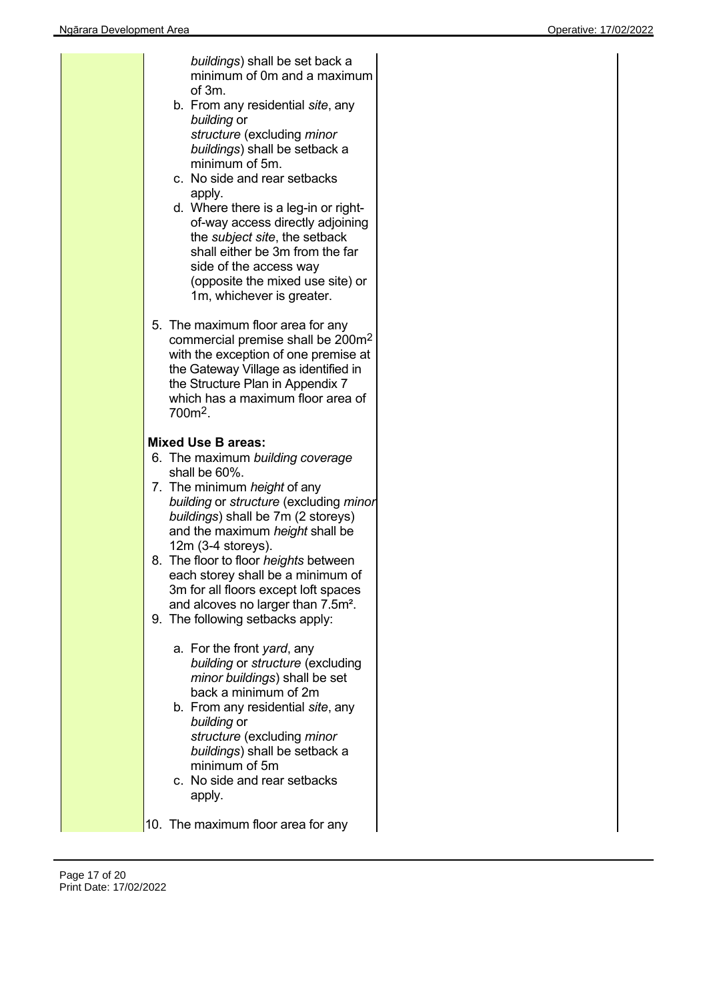| buildings) shall be set back a<br>minimum of 0m and a maximum<br>of 3m.<br>b. From any residential site, any<br>building or<br>structure (excluding minor<br>buildings) shall be setback a<br>minimum of 5m.<br>c. No side and rear setbacks<br>apply.<br>d. Where there is a leg-in or right-<br>of-way access directly adjoining<br>the <i>subject</i> site, the setback<br>shall either be 3m from the far<br>side of the access way<br>(opposite the mixed use site) or<br>1m, whichever is greater.<br>5. The maximum floor area for any<br>commercial premise shall be 200m <sup>2</sup> |
|------------------------------------------------------------------------------------------------------------------------------------------------------------------------------------------------------------------------------------------------------------------------------------------------------------------------------------------------------------------------------------------------------------------------------------------------------------------------------------------------------------------------------------------------------------------------------------------------|
| with the exception of one premise at<br>the Gateway Village as identified in<br>the Structure Plan in Appendix 7<br>which has a maximum floor area of<br>700m <sup>2</sup> .                                                                                                                                                                                                                                                                                                                                                                                                                   |
| <b>Mixed Use B areas:</b><br>6. The maximum building coverage<br>shall be 60%.<br>7. The minimum height of any<br>building or structure (excluding minor<br>buildings) shall be 7m (2 storeys)<br>and the maximum height shall be<br>$12m$ (3-4 storeys).                                                                                                                                                                                                                                                                                                                                      |
| 8. The floor to floor heights between<br>each storey shall be a minimum of<br>3m for all floors except loft spaces<br>and alcoves no larger than 7.5m <sup>2</sup> .<br>9. The following setbacks apply:                                                                                                                                                                                                                                                                                                                                                                                       |
| a. For the front <i>yard</i> , any<br>building or structure (excluding<br>minor buildings) shall be set<br>back a minimum of 2m<br>b. From any residential site, any<br>building or<br>structure (excluding minor<br>buildings) shall be setback a<br>minimum of 5m<br>c. No side and rear setbacks<br>apply.                                                                                                                                                                                                                                                                                  |
| 10. The maximum floor area for any                                                                                                                                                                                                                                                                                                                                                                                                                                                                                                                                                             |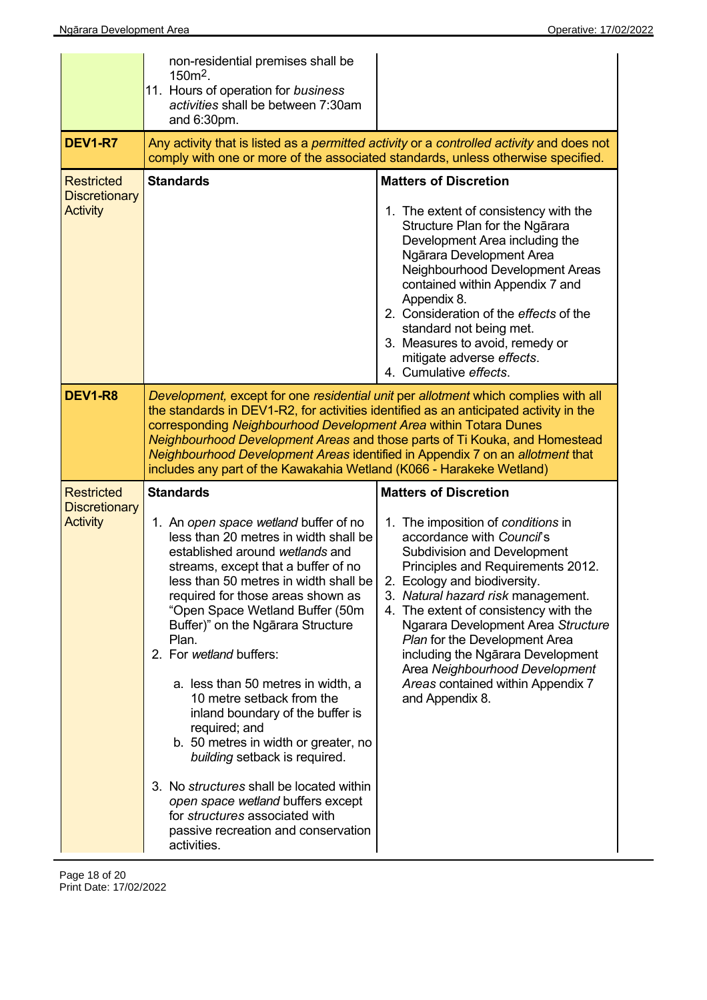|                                                              | non-residential premises shall be<br>$150m^2$ .<br>11. Hours of operation for business<br>activities shall be between 7:30am<br>and 6:30pm.                                                                                                                                                                                                                                                                                                                                                                                                                                                                                                                                                                                                      |                                                                                                                                                                                                                                                                                                                                                                                                                                                                                                 |  |
|--------------------------------------------------------------|--------------------------------------------------------------------------------------------------------------------------------------------------------------------------------------------------------------------------------------------------------------------------------------------------------------------------------------------------------------------------------------------------------------------------------------------------------------------------------------------------------------------------------------------------------------------------------------------------------------------------------------------------------------------------------------------------------------------------------------------------|-------------------------------------------------------------------------------------------------------------------------------------------------------------------------------------------------------------------------------------------------------------------------------------------------------------------------------------------------------------------------------------------------------------------------------------------------------------------------------------------------|--|
| <b>DEV1-R7</b>                                               | Any activity that is listed as a permitted activity or a controlled activity and does not<br>comply with one or more of the associated standards, unless otherwise specified.                                                                                                                                                                                                                                                                                                                                                                                                                                                                                                                                                                    |                                                                                                                                                                                                                                                                                                                                                                                                                                                                                                 |  |
| <b>Restricted</b><br><b>Discretionary</b><br><b>Activity</b> | <b>Standards</b>                                                                                                                                                                                                                                                                                                                                                                                                                                                                                                                                                                                                                                                                                                                                 | <b>Matters of Discretion</b><br>1. The extent of consistency with the<br>Structure Plan for the Ngārara<br>Development Area including the<br>Ngārara Development Area<br>Neighbourhood Development Areas<br>contained within Appendix 7 and<br>Appendix 8.<br>2. Consideration of the effects of the<br>standard not being met.<br>3. Measures to avoid, remedy or<br>mitigate adverse effects.<br>4. Cumulative effects.                                                                       |  |
| <b>DEV1-R8</b>                                               | Development, except for one residential unit per allotment which complies with all<br>the standards in DEV1-R2, for activities identified as an anticipated activity in the<br>corresponding Neighbourhood Development Area within Totara Dunes<br>Neighbourhood Development Areas and those parts of Ti Kouka, and Homestead<br>Neighbourhood Development Areas identified in Appendix 7 on an allotment that<br>includes any part of the Kawakahia Wetland (K066 - Harakeke Wetland)                                                                                                                                                                                                                                                           |                                                                                                                                                                                                                                                                                                                                                                                                                                                                                                 |  |
| <b>Restricted</b><br><b>Discretionary</b><br><b>Activity</b> | <b>Standards</b><br>1. An open space wetland buffer of no<br>less than 20 metres in width shall be<br>established around wetlands and<br>streams, except that a buffer of no<br>less than 50 metres in width shall be<br>required for those areas shown as<br>"Open Space Wetland Buffer (50m<br>Buffer)" on the Ngārara Structure<br>Plan.<br>2. For wetland buffers:<br>a. less than 50 metres in width, a<br>10 metre setback from the<br>inland boundary of the buffer is<br>required; and<br>b. 50 metres in width or greater, no<br>building setback is required.<br>3. No structures shall be located within<br>open space wetland buffers except<br>for structures associated with<br>passive recreation and conservation<br>activities. | <b>Matters of Discretion</b><br>1. The imposition of conditions in<br>accordance with Council's<br><b>Subdivision and Development</b><br>Principles and Requirements 2012.<br>2. Ecology and biodiversity.<br>3. Natural hazard risk management.<br>4. The extent of consistency with the<br>Ngarara Development Area Structure<br>Plan for the Development Area<br>including the Ngārara Development<br>Area Neighbourhood Development<br>Areas contained within Appendix 7<br>and Appendix 8. |  |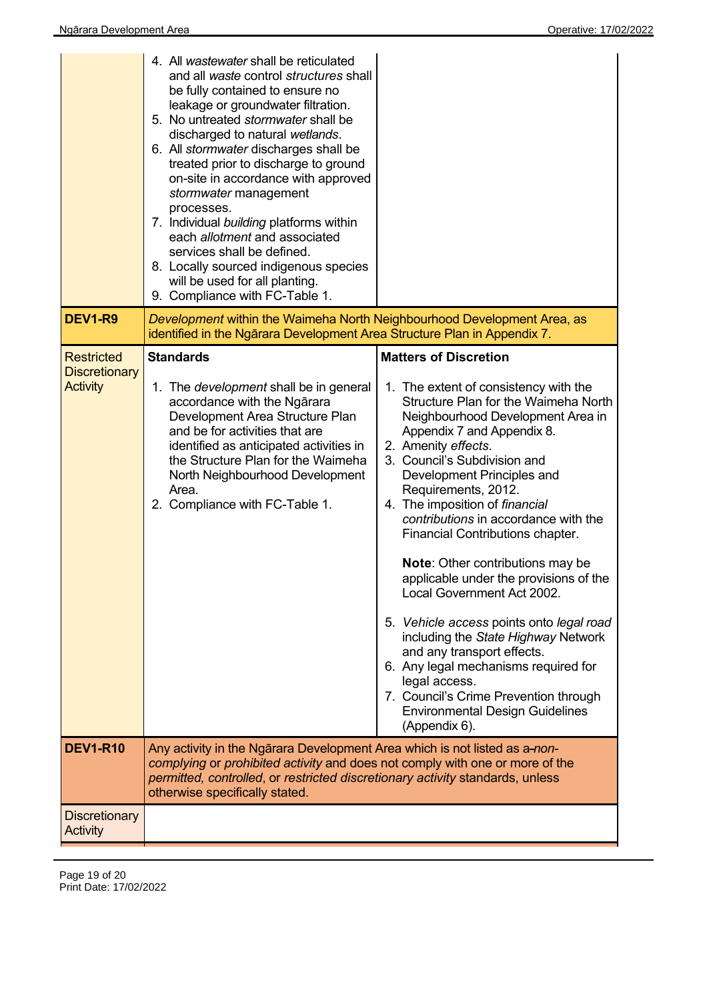| <b>DEV1-R9</b>                                               | 4. All wastewater shall be reticulated<br>and all waste control structures shall<br>be fully contained to ensure no<br>leakage or groundwater filtration.<br>5. No untreated stormwater shall be<br>discharged to natural wetlands.<br>6. All stormwater discharges shall be<br>treated prior to discharge to ground<br>on-site in accordance with approved<br>stormwater management<br>processes.<br>7. Individual building platforms within<br>each allotment and associated<br>services shall be defined.<br>8. Locally sourced indigenous species<br>will be used for all planting.<br>9. Compliance with FC-Table 1.<br>Development within the Waimeha North Neighbourhood Development Area, as |                                                                                                                                                                                                                                                                            |
|--------------------------------------------------------------|------------------------------------------------------------------------------------------------------------------------------------------------------------------------------------------------------------------------------------------------------------------------------------------------------------------------------------------------------------------------------------------------------------------------------------------------------------------------------------------------------------------------------------------------------------------------------------------------------------------------------------------------------------------------------------------------------|----------------------------------------------------------------------------------------------------------------------------------------------------------------------------------------------------------------------------------------------------------------------------|
|                                                              | identified in the Ngārara Development Area Structure Plan in Appendix 7.<br><b>Standards</b>                                                                                                                                                                                                                                                                                                                                                                                                                                                                                                                                                                                                         | <b>Matters of Discretion</b>                                                                                                                                                                                                                                               |
| <b>Restricted</b><br><b>Discretionary</b><br><b>Activity</b> | 1. The <i>development</i> shall be in general<br>accordance with the Ngārara<br>Development Area Structure Plan<br>and be for activities that are                                                                                                                                                                                                                                                                                                                                                                                                                                                                                                                                                    | 1. The extent of consistency with the<br>Structure Plan for the Waimeha North<br>Neighbourhood Development Area in<br>Appendix 7 and Appendix 8.                                                                                                                           |
|                                                              | identified as anticipated activities in<br>the Structure Plan for the Waimeha<br>North Neighbourhood Development<br>Area.<br>2. Compliance with FC-Table 1.                                                                                                                                                                                                                                                                                                                                                                                                                                                                                                                                          | 2. Amenity effects.<br>3. Council's Subdivision and<br>Development Principles and<br>Requirements, 2012.<br>4. The imposition of financial<br>contributions in accordance with the<br>Financial Contributions chapter.                                                     |
|                                                              |                                                                                                                                                                                                                                                                                                                                                                                                                                                                                                                                                                                                                                                                                                      | <b>Note:</b> Other contributions may be<br>applicable under the provisions of the<br>Local Government Act 2002.                                                                                                                                                            |
|                                                              |                                                                                                                                                                                                                                                                                                                                                                                                                                                                                                                                                                                                                                                                                                      | 5. Vehicle access points onto legal road<br>including the State Highway Network<br>and any transport effects.<br>6. Any legal mechanisms required for<br>legal access.<br>7. Council's Crime Prevention through<br><b>Environmental Design Guidelines</b><br>(Appendix 6). |
| <b>DEV1-R10</b>                                              | Any activity in the Ngārara Development Area which is not listed as a-non-<br>complying or prohibited activity and does not comply with one or more of the<br>permitted, controlled, or restricted discretionary activity standards, unless<br>otherwise specifically stated.                                                                                                                                                                                                                                                                                                                                                                                                                        |                                                                                                                                                                                                                                                                            |
| <b>Discretionary</b><br>Activity                             |                                                                                                                                                                                                                                                                                                                                                                                                                                                                                                                                                                                                                                                                                                      |                                                                                                                                                                                                                                                                            |

Page 19 of 20 Print Date: 17/02/2022